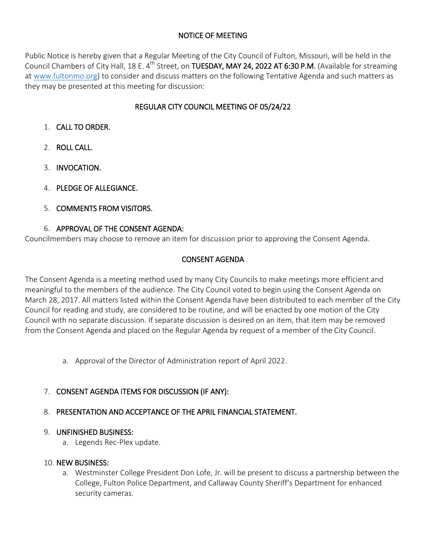# NOTICE OF MEETING

Public Notice is hereby given that a Regular Meeting of the City Council of Fulton, Missouri, will be held in the Council Chambers of City Hall, 18 E. 4<sup>th</sup> Street, on **TUESDAY, MAY 24, 2022 AT 6:30 P.M.** (Available for streaming at [www.fultonmo.org\)](http://www.fultonmo.org/) to consider and discuss matters on the following Tentative Agenda and such matters as they may be presented at this meeting for discussion:

# REGULAR CITY COUNCIL MEETING OF 05/24/22

- 1. CALL TO ORDER.
- 2. ROLL CALL.
- 3. INVOCATION.
- 4. PLEDGE OF ALLEGIANCE.
- 5. COMMENTS FROM VISITORS.

### 6. APPROVAL OF THE CONSENT AGENDA:

Councilmembers may choose to remove an item for discussion prior to approving the Consent Agenda.

# CONSENT AGENDA

The Consent Agenda is a meeting method used by many City Councils to make meetings more efficient and meaningful to the members of the audience. The City Council voted to begin using the Consent Agenda on March 28, 2017. All matters listed within the Consent Agenda have been distributed to each member of the City Council for reading and study, are considered to be routine, and will be enacted by one motion of the City Council with no separate discussion. If separate discussion is desired on an item, that item may be removed from the Consent Agenda and placed on the Regular Agenda by request of a member of the City Council.

- a. Approval of the Director of Administration report of April 2022.
- 7. CONSENT AGENDA ITEMS FOR DISCUSSION (IF ANY):
- 8. PRESENTATION AND ACCEPTANCE OF THE APRIL FINANCIAL STATEMENT.

### 9. UNFINISHED BUSINESS:

a. Legends Rec-Plex update.

#### 10. NEW BUSINESS:

a. Westminster College President Don Lofe, Jr. will be present to discuss a partnership between the College, Fulton Police Department, and Callaway County Sheriff's Department for enhanced security cameras.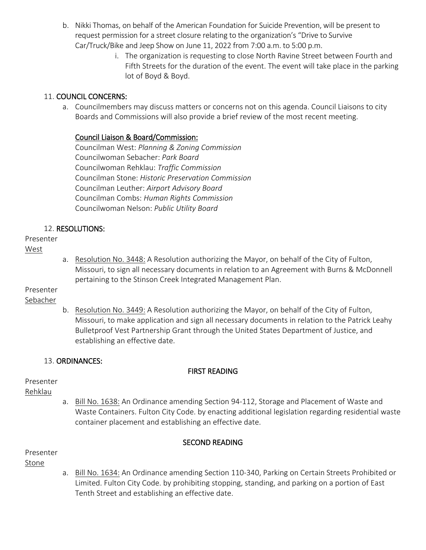- b. Nikki Thomas, on behalf of the American Foundation for Suicide Prevention, will be present to request permission for a street closure relating to the organization's "Drive to Survive Car/Truck/Bike and Jeep Show on June 11, 2022 from 7:00 a.m. to 5:00 p.m.
	- i. The organization is requesting to close North Ravine Street between Fourth and Fifth Streets for the duration of the event. The event will take place in the parking lot of Boyd & Boyd.

# 11. COUNCIL CONCERNS:

a. Councilmembers may discuss matters or concerns not on this agenda. Council Liaisons to city Boards and Commissions will also provide a brief review of the most recent meeting.

# Council Liaison & Board/Commission:

Councilman West: *Planning & Zoning Commission* Councilwoman Sebacher: *Park Board* Councilwoman Rehklau: *Traffic Commission* Councilman Stone: *Historic Preservation Commission* Councilman Leuther: *Airport Advisory Board* Councilman Combs: *Human Rights Commission* Councilwoman Nelson: *Public Utility Board*

# 12. RESOLUTIONS:

# Presenter

### West

a. Resolution No. 3448: A Resolution authorizing the Mayor, on behalf of the City of Fulton, Missouri, to sign all necessary documents in relation to an Agreement with Burns & McDonnell pertaining to the Stinson Creek Integrated Management Plan.

# Presenter

# Sebacher

b. Resolution No. 3449: A Resolution authorizing the Mayor, on behalf of the City of Fulton, Missouri, to make application and sign all necessary documents in relation to the Patrick Leahy Bulletproof Vest Partnership Grant through the United States Department of Justice, and establishing an effective date.

# 13. ORDINANCES:

# FIRST READING

# Presenter

# Rehklau

a. Bill No. 1638: An Ordinance amending Section 94-112, Storage and Placement of Waste and Waste Containers. Fulton City Code. by enacting additional legislation regarding residential waste container placement and establishing an effective date.

# SECOND READING

Presenter

Stone

a. Bill No. 1634: An Ordinance amending Section 110-340, Parking on Certain Streets Prohibited or Limited. Fulton City Code. by prohibiting stopping, standing, and parking on a portion of East Tenth Street and establishing an effective date.